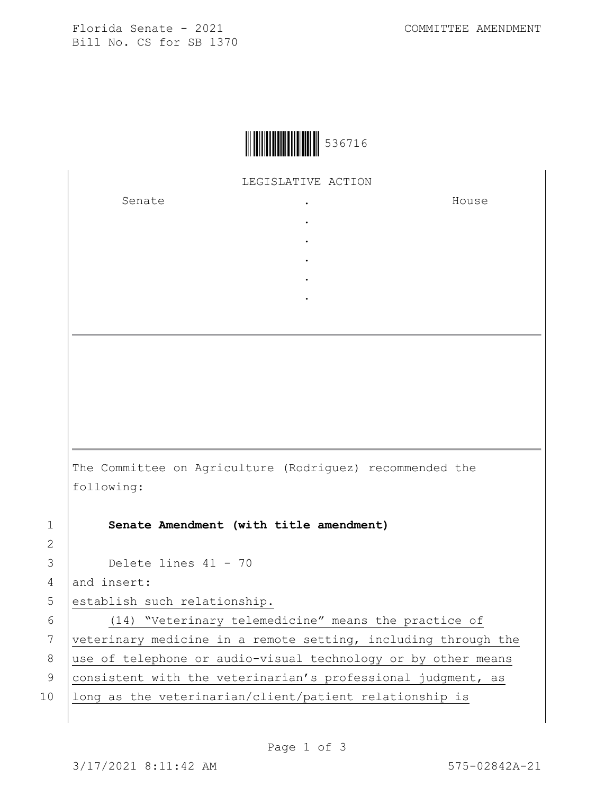Florida Senate - 2021 COMMITTEE AMENDMENT Bill No. CS for SB 1370



LEGISLATIVE ACTION

. . . . .

Senate the senate of the senate  $\cdot$ 

House

The Committee on Agriculture (Rodriguez) recommended the following:

1 **Senate Amendment (with title amendment)**

3 Delete lines 41 - 70

4 and insert:

2

5 establish such relationship.

6 (14) "Veterinary telemedicine" means the practice of 7 veterinary medicine in a remote setting, including through the 8 | use of telephone or audio-visual technology or by other means 9 consistent with the veterinarian's professional judgment, as 10 | long as the veterinarian/client/patient relationship is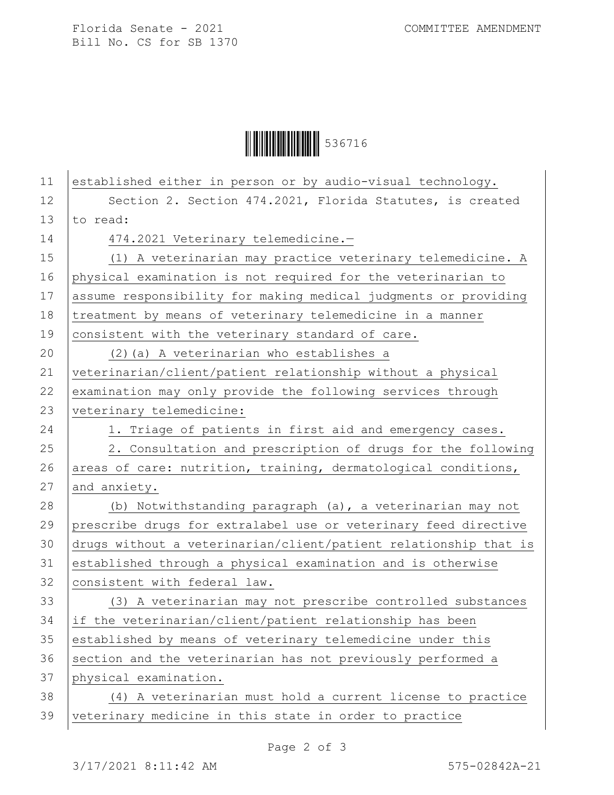Florida Senate - 2021 COMMITTEE AMENDMENT Bill No. CS for SB 1370

Ì5367167Î536716

| 11 | established either in person or by audio-visual technology.      |
|----|------------------------------------------------------------------|
| 12 | Section 2. Section 474.2021, Florida Statutes, is created        |
| 13 | to read:                                                         |
| 14 | 474.2021 Veterinary telemedicine.-                               |
| 15 | (1) A veterinarian may practice veterinary telemedicine. A       |
| 16 | physical examination is not required for the veterinarian to     |
| 17 | assume responsibility for making medical judgments or providing  |
| 18 | treatment by means of veterinary telemedicine in a manner        |
| 19 | consistent with the veterinary standard of care.                 |
| 20 | (2) (a) A veterinarian who establishes a                         |
| 21 | veterinarian/client/patient relationship without a physical      |
| 22 | examination may only provide the following services through      |
| 23 | veterinary telemedicine:                                         |
| 24 | 1. Triage of patients in first aid and emergency cases.          |
| 25 | 2. Consultation and prescription of drugs for the following      |
| 26 | areas of care: nutrition, training, dermatological conditions,   |
| 27 | and anxiety.                                                     |
| 28 | (b) Notwithstanding paragraph (a), a veterinarian may not        |
| 29 | prescribe drugs for extralabel use or veterinary feed directive  |
| 30 | drugs without a veterinarian/client/patient relationship that is |
| 31 | established through a physical examination and is otherwise      |
| 32 | consistent with federal law.                                     |
| 33 | (3) A veterinarian may not prescribe controlled substances       |
| 34 | if the veterinarian/client/patient relationship has been         |
| 35 | established by means of veterinary telemedicine under this       |
| 36 | section and the veterinarian has not previously performed a      |
| 37 | physical examination.                                            |
| 38 | (4) A veterinarian must hold a current license to practice       |
| 39 | veterinary medicine in this state in order to practice           |
|    |                                                                  |